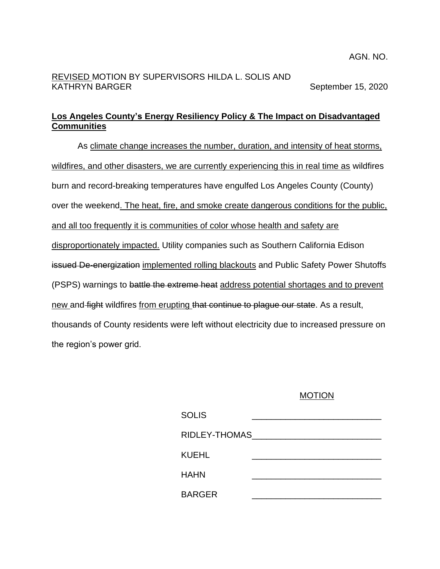### AGN. NO.

## REVISED MOTION BY SUPERVISORS HILDA L. SOLIS AND KATHRYN BARGER September 15, 2020

# **Los Angeles County's Energy Resiliency Policy & The Impact on Disadvantaged Communities**

As climate change increases the number, duration, and intensity of heat storms, wildfires, and other disasters, we are currently experiencing this in real time as wildfires burn and record-breaking temperatures have engulfed Los Angeles County (County) over the weekend. The heat, fire, and smoke create dangerous conditions for the public, and all too frequently it is communities of color whose health and safety are disproportionately impacted. Utility companies such as Southern California Edison issued De-energization implemented rolling blackouts and Public Safety Power Shutoffs (PSPS) warnings to battle the extreme heat address potential shortages and to prevent new and fight wildfires from erupting that continue to plague our state. As a result, thousands of County residents were left without electricity due to increased pressure on the region's power grid.

### MOTION

| <b>SOLIS</b>  |  |
|---------------|--|
| RIDLEY-THOMAS |  |
| KUEHL         |  |
| HAHN          |  |
| <b>BARGER</b> |  |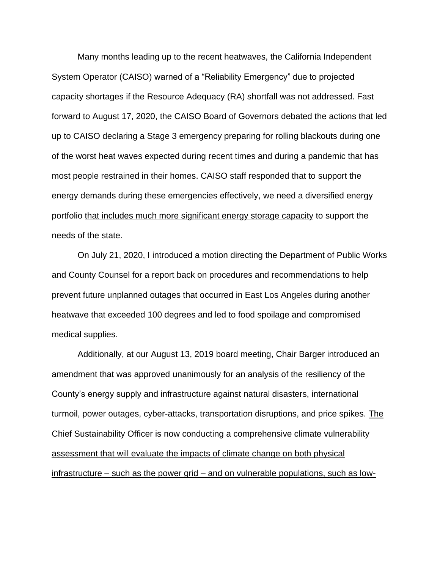Many months leading up to the recent heatwaves, the California Independent System Operator (CAISO) warned of a "Reliability Emergency" due to projected capacity shortages if the Resource Adequacy (RA) shortfall was not addressed. Fast forward to August 17, 2020, the CAISO Board of Governors debated the actions that led up to CAISO declaring a Stage 3 emergency preparing for rolling blackouts during one of the worst heat waves expected during recent times and during a pandemic that has most people restrained in their homes. CAISO staff responded that to support the energy demands during these emergencies effectively, we need a diversified energy portfolio that includes much more significant energy storage capacity to support the needs of the state.

On July 21, 2020, I introduced a motion directing the Department of Public Works and County Counsel for a report back on procedures and recommendations to help prevent future unplanned outages that occurred in East Los Angeles during another heatwave that exceeded 100 degrees and led to food spoilage and compromised medical supplies.

Additionally, at our August 13, 2019 board meeting, Chair Barger introduced an amendment that was approved unanimously for an analysis of the resiliency of the County's energy supply and infrastructure against natural disasters, international turmoil, power outages, cyber-attacks, transportation disruptions, and price spikes. The Chief Sustainability Officer is now conducting a comprehensive climate vulnerability assessment that will evaluate the impacts of climate change on both physical infrastructure – such as the power grid – and on vulnerable populations, such as low-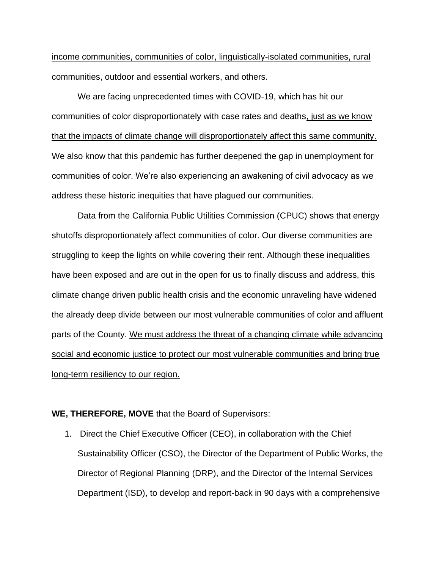income communities, communities of color, linguistically-isolated communities, rural communities, outdoor and essential workers, and others.

We are facing unprecedented times with COVID-19, which has hit our communities of color disproportionately with case rates and deaths, just as we know that the impacts of climate change will disproportionately affect this same community. We also know that this pandemic has further deepened the gap in unemployment for communities of color. We're also experiencing an awakening of civil advocacy as we address these historic inequities that have plagued our communities.

Data from the California Public Utilities Commission (CPUC) shows that energy shutoffs disproportionately affect communities of color. Our diverse communities are struggling to keep the lights on while covering their rent. Although these inequalities have been exposed and are out in the open for us to finally discuss and address, this climate change driven public health crisis and the economic unraveling have widened the already deep divide between our most vulnerable communities of color and affluent parts of the County. We must address the threat of a changing climate while advancing social and economic justice to protect our most vulnerable communities and bring true long-term resiliency to our region.

### **WE, THEREFORE, MOVE** that the Board of Supervisors:

1. Direct the Chief Executive Officer (CEO), in collaboration with the Chief Sustainability Officer (CSO), the Director of the Department of Public Works, the Director of Regional Planning (DRP), and the Director of the Internal Services Department (ISD), to develop and report-back in 90 days with a comprehensive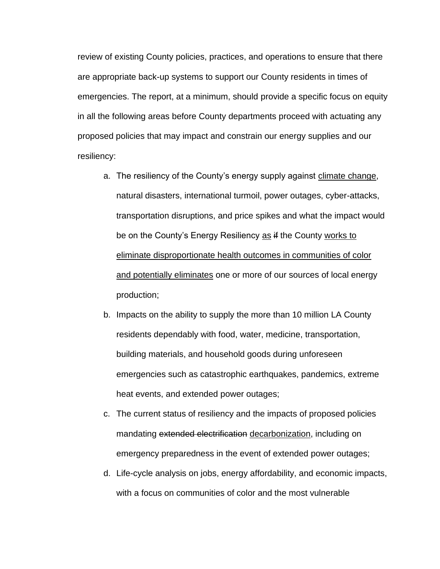review of existing County policies, practices, and operations to ensure that there are appropriate back-up systems to support our County residents in times of emergencies. The report, at a minimum, should provide a specific focus on equity in all the following areas before County departments proceed with actuating any proposed policies that may impact and constrain our energy supplies and our resiliency:

- a. The resiliency of the County's energy supply against climate change, natural disasters, international turmoil, power outages, cyber-attacks, transportation disruptions, and price spikes and what the impact would be on the County's Energy Resiliency as if the County works to eliminate disproportionate health outcomes in communities of color and potentially eliminates one or more of our sources of local energy production;
- b. Impacts on the ability to supply the more than 10 million LA County residents dependably with food, water, medicine, transportation, building materials, and household goods during unforeseen emergencies such as catastrophic earthquakes, pandemics, extreme heat events, and extended power outages;
- c. The current status of resiliency and the impacts of proposed policies mandating extended electrification decarbonization, including on emergency preparedness in the event of extended power outages;
- d. Life-cycle analysis on jobs, energy affordability, and economic impacts, with a focus on communities of color and the most vulnerable